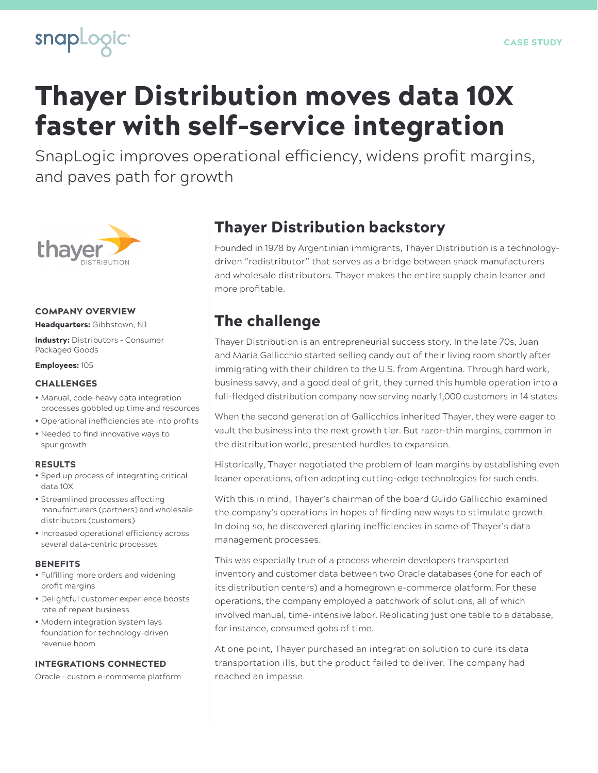

# Thayer Distribution moves data 10X faster with self-service integration

SnapLogic improves operational efficiency, widens profit margins, and paves path for growth



#### COMPANY OVERVIEW

Headquarters: Gibbstown, NJ

Industry: Distributors – Consumer Packaged Goods

Employees: 105

#### **CHALLENGES**

- Manual, code-heavy data integration processes gobbled up time and resources
- Operational inefficiencies ate into profits • Needed to find innovative ways to
- spur growth

#### RESULTS

- Sped up process of integrating critical data 10X
- Streamlined processes affecting manufacturers (partners) and wholesale distributors (customers)
- Increased operational efficiency across several data-centric processes

#### BENEFITS

- Fulfilling more orders and widening profit margins
- Delightful customer experience boosts rate of repeat business
- Modern integration system lays foundation for technology-driven revenue boom

### INTEGRATIONS CONNECTED

Oracle – custom e-commerce platform

### Thayer Distribution backstory

Founded in 1978 by Argentinian immigrants, Thayer Distribution is a technologydriven "redistributor" that serves as a bridge between snack manufacturers and wholesale distributors. Thayer makes the entire supply chain leaner and more profitable.

### The challenge

Thayer Distribution is an entrepreneurial success story. In the late 70s, Juan and Maria Gallicchio started selling candy out of their living room shortly after immigrating with their children to the U.S. from Argentina. Through hard work, business savvy, and a good deal of grit, they turned this humble operation into a full-fledged distribution company now serving nearly 1,000 customers in 14 states.

When the second generation of Gallicchios inherited Thayer, they were eager to vault the business into the next growth tier. But razor-thin margins, common in the distribution world, presented hurdles to expansion.

Historically, Thayer negotiated the problem of lean margins by establishing even leaner operations, often adopting cutting-edge technologies for such ends.

With this in mind, Thayer's chairman of the board Guido Gallicchio examined the company's operations in hopes of finding new ways to stimulate growth. In doing so, he discovered glaring inefficiencies in some of Thayer's data management processes.

This was especially true of a process wherein developers transported inventory and customer data between two Oracle databases (one for each of its distribution centers) and a homegrown e-commerce platform. For these operations, the company employed a patchwork of solutions, all of which involved manual, time-intensive labor. Replicating just one table to a database, for instance, consumed gobs of time.

At one point, Thayer purchased an integration solution to cure its data transportation ills, but the product failed to deliver. The company had reached an impasse.